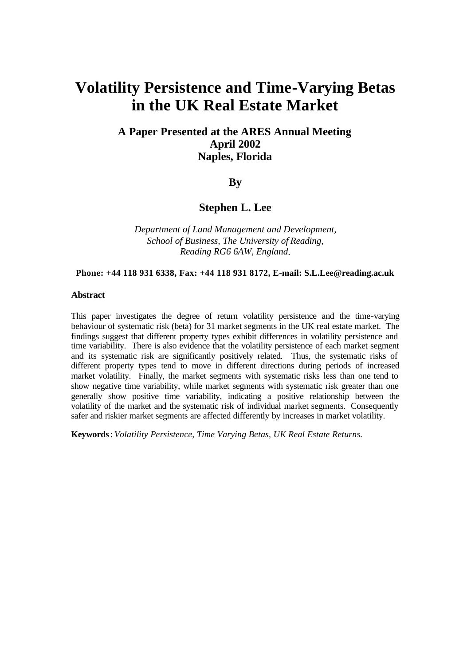# **Volatility Persistence and Time-Varying Betas in the UK Real Estate Market**

## **A Paper Presented at the ARES Annual Meeting April 2002 Naples, Florida**

### **By**

## **Stephen L. Lee**

*Department of Land Management and Development, School of Business, The University of Reading, Reading RG6 6AW, England*.

#### **Phone: +44 118 931 6338, Fax: +44 118 931 8172, E-mail: S.L.Lee@reading.ac.uk**

#### **Abstract**

This paper investigates the degree of return volatility persistence and the time-varying behaviour of systematic risk (beta) for 31 market segments in the UK real estate market. The findings suggest that different property types exhibit differences in volatility persistence and time variability. There is also evidence that the volatility persistence of each market segment and its systematic risk are significantly positively related. Thus, the systematic risks of different property types tend to move in different directions during periods of increased market volatility. Finally, the market segments with systematic risks less than one tend to show negative time variability, while market segments with systematic risk greater than one generally show positive time variability, indicating a positive relationship between the volatility of the market and the systematic risk of individual market segments. Consequently safer and riskier market segments are affected differently by increases in market volatility.

**Keywords**: *Volatility Persistence, Time Varying Betas, UK Real Estate Returns.*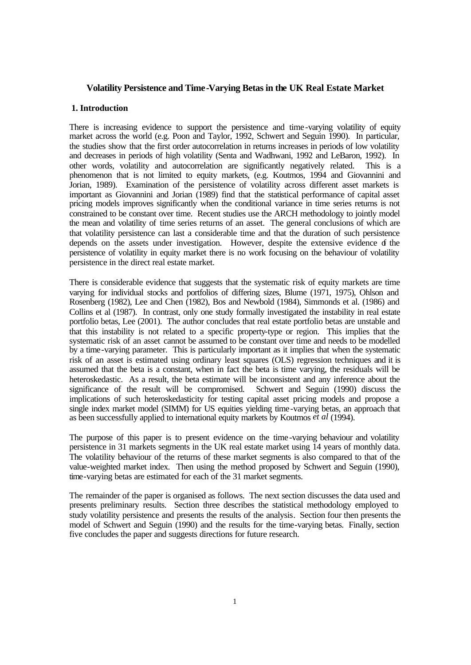#### **Volatility Persistence and Time-Varying Betas in the UK Real Estate Market**

#### **1. Introduction**

There is increasing evidence to support the persistence and time-varying volatility of equity market across the world (e.g. Poon and Taylor, 1992, Schwert and Seguin 1990). In particular, the studies show that the first order autocorrelation in returns increases in periods of low volatility and decreases in periods of high volatility (Senta and Wadhwani, 1992 and LeBaron, 1992). In other words, volatility and autocorrelation are significantly negatively related. This is a phenomenon that is not limited to equity markets, (e.g. Koutmos, 1994 and Giovannini and Jorian, 1989). Examination of the persistence of volatility across different asset markets is important as Giovannini and Jorian (1989) find that the statistical performance of capital asset pricing models improves significantly when the conditional variance in time series returns is not constrained to be constant over time. Recent studies use the ARCH methodology to jointly model the mean and volatility of time series returns of an asset. The general conclusions of which are that volatility persistence can last a considerable time and that the duration of such persistence depends on the assets under investigation. However, despite the extensive evidence of the persistence of volatility in equity market there is no work focusing on the behaviour of volatility persistence in the direct real estate market.

There is considerable evidence that suggests that the systematic risk of equity markets are time varying for individual stocks and portfolios of differing sizes, Blume (1971, 1975), Ohlson and Rosenberg (1982), Lee and Chen (1982), Bos and Newbold (1984), Simmonds et al. (1986) and Collins et al (1987). In contrast, only one study formally investigated the instability in real estate portfolio betas, Lee (2001). The author concludes that real estate portfolio betas are unstable and that this instability is not related to a specific property-type or region. This implies that the systematic risk of an asset cannot be assumed to be constant over time and needs to be modelled by a time-varying parameter. This is particularly important as it implies that when the systematic risk of an asset is estimated using ordinary least squares (OLS) regression techniques and it is assumed that the beta is a constant, when in fact the beta is time varying, the residuals will be heteroskedastic. As a result, the beta estimate will be inconsistent and any inference about the significance of the result will be compromised. Schwert and Seguin (1990) discuss the significance of the result will be compromised. implications of such heteroskedasticity for testing capital asset pricing models and propose a single index market model (SIMM) for US equities yielding time-varying betas, an approach that as been successfully applied to international equity markets by Koutmos *et al* (1994).

The purpose of this paper is to present evidence on the time-varying behaviour and volatility persistence in 31 markets segments in the UK real estate market using 14 years of monthly data. The volatility behaviour of the returns of these market segments is also compared to that of the value-weighted market index. Then using the method proposed by Schwert and Seguin (1990), time-varying betas are estimated for each of the 31 market segments.

The remainder of the paper is organised as follows. The next section discusses the data used and presents preliminary results. Section three describes the statistical methodology employed to study volatility persistence and presents the results of the analysis. Section four then presents the model of Schwert and Seguin (1990) and the results for the time-varying betas. Finally, section five concludes the paper and suggests directions for future research.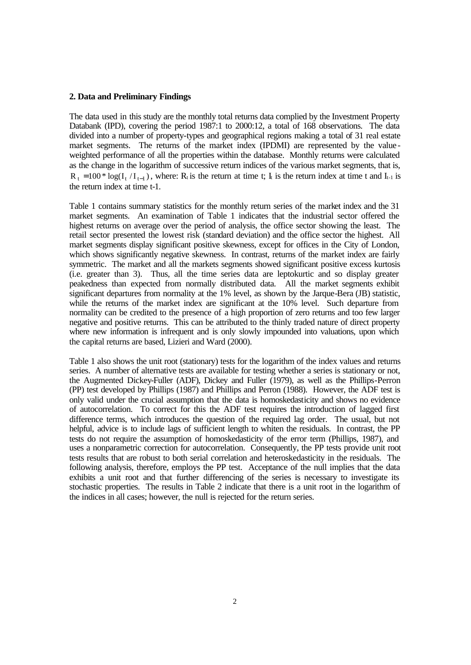#### **2. Data and Preliminary Findings**

The data used in this study are the monthly total returns data complied by the Investment Property Databank (IPD), covering the period 1987:1 to 2000:12, a total of 168 observations. The data divided into a number of property-types and geographical regions making a total of 31 real estate market segments. The returns of the market index (IPDMI) are represented by the valueweighted performance of all the properties within the database. Monthly returns were calculated as the change in the logarithm of successive return indices of the various market segments, that is,  $R_t = 100 * log(I_t / I_{t-1})$ , where:  $R_t$  is the return at time t;  $I_t$  is the return index at time t and  $I_{t-1}$  is the return index at time t-1.

Table 1 contains summary statistics for the monthly return series of the market index and the 31 market segments. An examination of Table 1 indicates that the industrial sector offered the highest returns on average over the period of analysis, the office sector showing the least. The retail sector presented the lowest risk (standard deviation) and the office sector the highest. All market segments display significant positive skewness, except for offices in the City of London, which shows significantly negative skewness. In contrast, returns of the market index are fairly symmetric. The market and all the markets segments showed significant positive excess kurtosis (i.e. greater than 3). Thus, all the time series data are leptokurtic and so display greater peakedness than expected from normally distributed data. All the market segments exhibit significant departures from normality at the 1% level, as shown by the Jarque-Bera (JB) statistic, while the returns of the market index are significant at the 10% level. Such departure from normality can be credited to the presence of a high proportion of zero returns and too few larger negative and positive returns. This can be attributed to the thinly traded nature of direct property where new information is infrequent and is only slowly impounded into valuations, upon which the capital returns are based, Lizieri and Ward (2000).

Table 1 also shows the unit root (stationary) tests for the logarithm of the index values and returns series. A number of alternative tests are available for testing whether a series is stationary or not, the Augmented Dickey-Fuller (ADF), Dickey and Fuller (1979), as well as the Phillips-Perron (PP) test developed by Phillips (1987) and Phillips and Perron (1988). However, the ADF test is only valid under the crucial assumption that the data is homoskedasticity and shows no evidence of autocorrelation. To correct for this the ADF test requires the introduction of lagged first difference terms, which introduces the question of the required lag order. The usual, but not helpful, advice is to include lags of sufficient length to whiten the residuals. In contrast, the PP tests do not require the assumption of homoskedasticity of the error term (Phillips, 1987), and uses a nonparametric correction for autocorrelation. Consequently, the PP tests provide unit root tests results that are robust to both serial correlation and heteroskedasticity in the residuals. The following analysis, therefore, employs the PP test. Acceptance of the null implies that the data exhibits a unit root and that further differencing of the series is necessary to investigate its stochastic properties. The results in Table 2 indicate that there is a unit root in the logarithm of the indices in all cases; however, the null is rejected for the return series.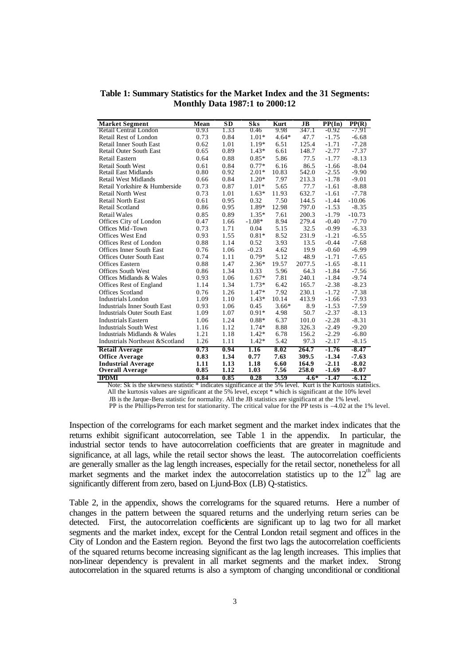| <b>Market Segment</b>               | Mean | SD   | Sks      | Kurt    | $_{\rm{JB}}$ | PP(In)  | PP(R)    |
|-------------------------------------|------|------|----------|---------|--------------|---------|----------|
| Retail Central London               | 0.93 | 1.33 | 0.46     | 9.98    | 347.1        | -0.92   | -7.91    |
| Retail Rest of London               | 0.73 | 0.84 | $1.01*$  | $4.64*$ | 47.7         | $-1.75$ | $-6.68$  |
| <b>Retail Inner South East</b>      | 0.62 | 1.01 | 1.19*    | 6.51    | 125.4        | $-1.71$ | $-7.28$  |
| <b>Retail Outer South East</b>      | 0.65 | 0.89 | $1.43*$  | 6.61    | 148.7        | $-2.77$ | $-7.37$  |
| Retail Eastern                      | 0.64 | 0.88 | $0.85*$  | 5.86    | 77.5         | $-1.77$ | $-8.13$  |
| <b>Retail South West</b>            | 0.61 | 0.84 | $0.77*$  | 6.16    | 86.5         | $-1.66$ | $-8.04$  |
| <b>Retail East Midlands</b>         | 0.80 | 0.92 | $2.01*$  | 10.83   | 542.0        | $-2.55$ | $-9.90$  |
| Retail West Midlands                | 0.66 | 0.84 | $1.20*$  | 7.97    | 213.3        | $-1.78$ | $-9.01$  |
| Retail Yorkshire & Humberside       | 0.73 | 0.87 | $1.01*$  | 5.65    | 77.7         | $-1.61$ | $-8.88$  |
| <b>Retail North West</b>            | 0.73 | 1.01 | $1.63*$  | 11.93   | 632.7        | $-1.61$ | $-7.78$  |
| <b>Retail North East</b>            | 0.61 | 0.95 | 0.32     | 7.50    | 144.5        | $-1.44$ | $-10.06$ |
| Retail Scotland                     | 0.86 | 0.95 | 1.89*    | 12.98   | 797.0        | $-1.53$ | $-8.35$  |
| <b>Retail Wales</b>                 | 0.85 | 0.89 | $1.35*$  | 7.61    | 200.3        | $-1.79$ | $-10.73$ |
| Offices City of London              | 0.47 | 1.66 | $-1.08*$ | 8.94    | 279.4        | $-0.40$ | $-7.70$  |
| Offices Mid-Town                    | 0.73 | 1.71 | 0.04     | 5.15    | 32.5         | $-0.99$ | $-6.33$  |
| <b>Offices West End</b>             | 0.93 | 1.55 | $0.81*$  | 8.52    | 231.9        | $-1.21$ | $-6.55$  |
| Offices Rest of London              | 0.88 | 1.14 | 0.52     | 3.93    | 13.5         | $-0.44$ | $-7.68$  |
| <b>Offices Inner South East</b>     | 0.76 | 1.06 | $-0.23$  | 4.62    | 19.9         | $-0.60$ | $-6.99$  |
| <b>Offices Outer South East</b>     | 0.74 | 1.11 | $0.79*$  | 5.12    | 48.9         | $-1.71$ | $-7.65$  |
| <b>Offices Eastern</b>              | 0.88 | 1.47 | $2.36*$  | 19.57   | 2077.5       | $-1.65$ | $-8.11$  |
| <b>Offices South West</b>           | 0.86 | 1.34 | 0.33     | 5.96    | 64.3         | $-1.84$ | $-7.56$  |
| Offices Midlands & Wales            | 0.93 | 1.06 | 1.67*    | 7.81    | 240.1        | $-1.84$ | $-9.74$  |
| Offices Rest of England             | 1.14 | 1.34 | $1.73*$  | 6.42    | 165.7        | $-2.38$ | $-8.23$  |
| Offices Scotland                    | 0.76 | 1.26 | 1.47*    | 7.92    | 230.1        | $-1.72$ | $-7.38$  |
| <b>Industrials London</b>           | 1.09 | 1.10 | $1.43*$  | 10.14   | 413.9        | $-1.66$ | $-7.93$  |
| <b>Industrials Inner South East</b> | 0.93 | 1.06 | 0.45     | $3.66*$ | 8.9          | $-1.53$ | $-7.59$  |
| <b>Industrials Outer South East</b> | 1.09 | 1.07 | $0.91*$  | 4.98    | 50.7         | $-2.37$ | $-8.13$  |
| <b>Industrials Eastern</b>          | 1.06 | 1.24 | $0.88*$  | 6.37    | 101.0        | $-2.28$ | $-8.31$  |
| <b>Industrials South West</b>       | 1.16 | 1.12 | $1.74*$  | 8.88    | 326.3        | $-2.49$ | $-9.20$  |
| Industrials Midlands & Wales        | 1.21 | 1.18 | $1.42*$  | 6.78    | 156.2        | $-2.29$ | $-6.80$  |
| Industrials Northeast & Scotland    | 1.26 | 1.11 | $1.42*$  | 5.42    | 97.3         | $-2.17$ | $-8.15$  |
| <b>Retail Average</b>               | 0.73 | 0.94 | 1.16     | 8.02    | 264.7        | $-1.76$ | $-8.47$  |
| <b>Office Average</b>               | 0.83 | 1.34 | 0.77     | 7.63    | 309.5        | $-1.34$ | $-7.63$  |
| <b>Industrial Average</b>           | 1.11 | 1.13 | 1.18     | 6.60    | 164.9        | $-2.11$ | $-8.02$  |
| <b>Overall Average</b>              | 0.85 | 1.12 | 1.03     | 7.56    | 258.0        | $-1.69$ | $-8.07$  |
| <b>IPDMI</b>                        | 0.84 | 0.85 | 0.28     | 3.59    | $4.6*$       | $-1.47$ | $-6.12$  |

**Table 1: Summary Statistics for the Market Index and the 31 Segments: Monthly Data 1987:1 to 2000:12**

 Note: Sk is the skewness statistic \* indicates significance at the 5% level. Kurt is the Kurtosis statistics. All the kurtosis values are significant at the 5% level, except \* which is significant at the 10% level

JB is the Jarque-Bera statistic for normality. All the JB statistics are significant at the 1% level.

PP is the Phillips-Perron test for stationarity. The critical value for the PP tests is –4.02 at the 1% level.

Inspection of the correlograms for each market segment and the market index indicates that the returns exhibit significant autocorrelation, see Table 1 in the appendix. In particular, the industrial sector tends to have autocorrelation coefficients that are greater in magnitude and significance, at all lags, while the retail sector shows the least. The autocorrelation coefficients are generally smaller as the lag length increases, especially for the retail sector, nonetheless for all market segments and the market index the autocorrelation statistics up to the  $12<sup>th</sup>$  lag are significantly different from zero, based on Ljund-Box (LB) Q-statistics.

Table 2, in the appendix, shows the correlograms for the squared returns. Here a number of changes in the pattern between the squared returns and the underlying return series can be detected. First, the autocorrelation coefficients are significant up to lag two for all market segments and the market index, except for the Central London retail segment and offices in the City of London and the Eastern region. Beyond the first two lags the autocorrelation coefficients of the squared returns become increasing significant as the lag length increases. This implies that non-linear denendency is prevalent in all market segments and the market index. Strong non-linear dependency is prevalent in all market segments and the market index. autocorrelation in the squared returns is also a symptom of changing unconditional or conditional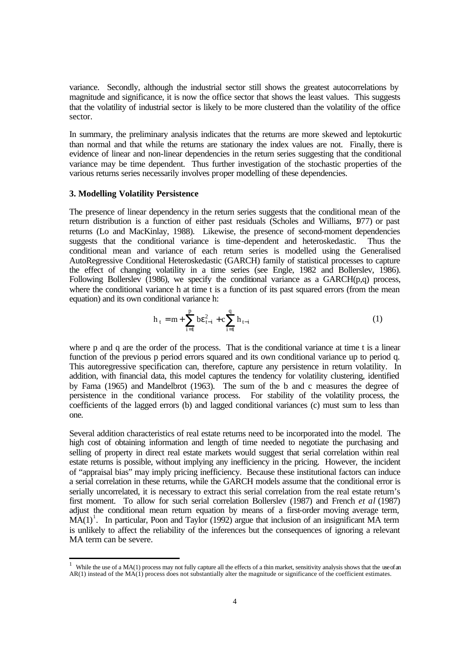variance. Secondly, although the industrial sector still shows the greatest autocorrelations by magnitude and significance, it is now the office sector that shows the least values. This suggests that the volatility of industrial sector is likely to be more clustered than the volatility of the office sector.

In summary, the preliminary analysis indicates that the returns are more skewed and leptokurtic than normal and that while the returns are stationary the index values are not. Finally, there is evidence of linear and non-linear dependencies in the return series suggesting that the conditional variance may be time dependent. Thus further investigation of the stochastic properties of the various returns series necessarily involves proper modelling of these dependencies.

#### **3. Modelling Volatility Persistence**

j

The presence of linear dependency in the return series suggests that the conditional mean of the return distribution is a function of either past residuals (Scholes and Williams, 1977) or past returns (Lo and MacKinlay, 1988). Likewise, the presence of second-moment dependencies suggests that the conditional variance is time-dependent and heteroskedastic. Thus the conditional mean and variance of each return series is modelled using the Generalised AutoRegressive Conditional Heteroskedastic (GARCH) family of statistical processes to capture the effect of changing volatility in a time series (see Engle, 1982 and Bollerslev, 1986). Following Bollerslev (1986), we specify the conditional variance as a GARCH(p,q) process, where the conditional variance h at time t is a function of its past squared errors (from the mean equation) and its own conditional variance h:

$$
h_{t} = m + \sum_{i=1}^{p} be_{t-i}^{2} + c \sum_{i=1}^{q} h_{t-i}
$$
 (1)

where p and q are the order of the process. That is the conditional variance at time t is a linear function of the previous p period errors squared and its own conditional variance up to period q. This autoregressive specification can, therefore, capture any persistence in return volatility. In addition, with financial data, this model captures the tendency for volatility clustering, identified by Fama (1965) and Mandelbrot (1963). The sum of the b and c measures the degree of persistence in the conditional variance process. For stability of the volatility process, the coefficients of the lagged errors (b) and lagged conditional variances (c) must sum to less than one.

Several addition characteristics of real estate returns need to be incorporated into the model. The high cost of obtaining information and length of time needed to negotiate the purchasing and selling of property in direct real estate markets would suggest that serial correlation within real estate returns is possible, without implying any inefficiency in the pricing. However, the incident of "appraisal bias" may imply pricing inefficiency. Because these institutional factors can induce a serial correlation in these returns, while the GARCH models assume that the conditional error is serially uncorrelated, it is necessary to extract this serial correlation from the real estate return's first moment. To allow for such serial correlation Bollerslev (1987) and French *et al* (1987) adjust the conditional mean return equation by means of a first-order moving average term,  $\overrightarrow{MA}(1)^1$ . In particular, Poon and Taylor (1992) argue that inclusion of an insignificant MA term is unlikely to affect the reliability of the inferences but the consequences of ignoring a relevant MA term can be severe.

<sup>&</sup>lt;sup>1</sup> While the use of a MA(1) process may not fully capture all the effects of a thin market, sensitivity analysis shows that the use of an  $AR(1)$  instead of the  $MA(1)$  process does not substantially alter the magnitude or significance of the coefficient estimates.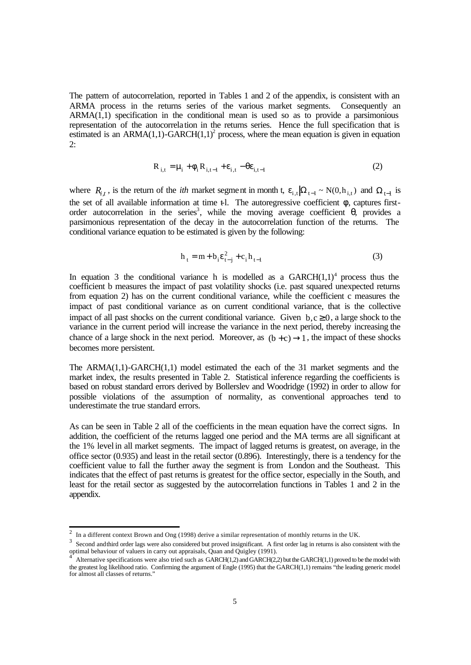The pattern of autocorrelation, reported in Tables 1 and 2 of the appendix, is consistent with an ARMA process in the returns series of the various market segments. Consequently an  $ARMA(1,1)$  specification in the conditional mean is used so as to provide a parsimonious representation of the autocorrelation in the returns series. Hence the full specification that is estimated is an ARMA $(1,1)$ -GARCH $(1,1)^2$  process, where the mean equation is given in equation 2:

$$
R_{i,t} = \mu_i + \phi_i R_{i,t-1} + \varepsilon_{i,t} - \theta \varepsilon_{i,t-1}
$$
 (2)

where  $R_{i,t}$ , is the return of the *ith* market segment in month t,  $\varepsilon_{i,t} |\Omega_{t-1} \sim N(0,h_{i,t})$  and  $\Omega_{t-1}$  is the set of all available information at time  $\epsilon$ l. The autoregressive coefficient  $\phi$ , captures firstorder autocorrelation in the series<sup>3</sup>, while the moving average coefficient  $\theta$ , provides a parsimonious representation of the decay in the autocorrelation function of the returns. The conditional variance equation to be estimated is given by the following:

$$
h_{t} = m + b_{i} \varepsilon_{t-j}^{2} + c_{i} h_{t-l}
$$
 (3)

In equation 3 the conditional variance h is modelled as a  $GARCH(1,1)<sup>4</sup>$  process thus the coefficient b measures the impact of past volatility shocks (i.e. past squared unexpected returns from equation 2) has on the current conditional variance, while the coefficient c measures the impact of past conditional variance as on current conditional variance, that is the collective impact of all past shocks on the current conditional variance. Given  $b, c \ge 0$ , a large shock to the variance in the current period will increase the variance in the next period, thereby increasing the chance of a large shock in the next period. Moreover, as  $(b + c) \rightarrow 1$ , the impact of these shocks becomes more persistent.

The ARMA(1,1)-GARCH(1,1) model estimated the each of the 31 market segments and the market index, the results presented in Table 2. Statistical inference regarding the coefficients is based on robust standard errors derived by Bollerslev and Woodridge (1992) in order to allow for possible violations of the assumption of normality, as conventional approaches tend to underestimate the true standard errors.

As can be seen in Table 2 all of the coefficients in the mean equation have the correct signs. In addition, the coefficient of the returns lagged one period and the MA terms are all significant at the 1% level in all market segments. The impact of lagged returns is greatest, on average, in the office sector (0.935) and least in the retail sector (0.896). Interestingly, there is a tendency for the coefficient value to fall the further away the segment is from London and the Southeast. This indicates that the effect of past returns is greatest for the office sector, especially in the South, and least for the retail sector as suggested by the autocorrelation functions in Tables 1 and 2 in the appendix.

<sup>&</sup>lt;sup>2</sup> In a different context Brown and Ong (1998) derive a similar representation of monthly returns in the UK.

 $3$  Second and third order lags were also considered but proved insignificant. A first order lag in returns is also consistent with the optimal behaviour of valuers in carry out appraisals, Quan and Quigley (1991). 4

Alternative specifications were also tried such as GARCH(1,2) and GARCH(2,2) but the GARCH(1,1) proved to be the model with the greatest log likelihood ratio. Confirming the argument of Engle (1995) that the GARCH(1,1) remains "the leading generic model for almost all classes of returns.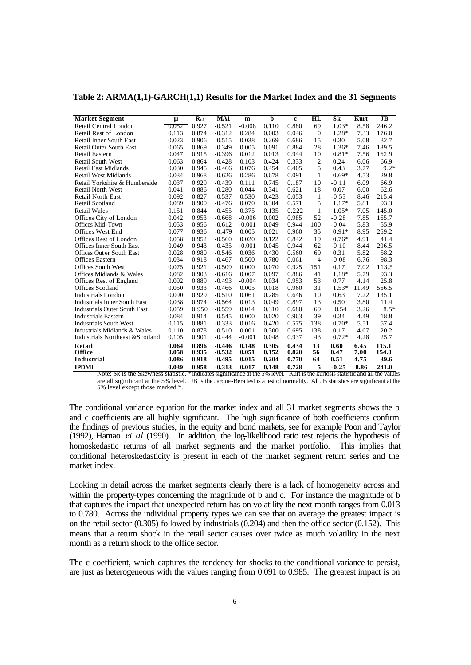**Table 2: ARMA(1,1)-GARCH(1,1) Results for the Market Index and the 31 Segments**

| <b>Market Segment</b>               | m     | $R_{t-1}$ | MA1      | m        | b     | c     | $\mathbf{H}\mathbf{L}$ | Sk      | Kurt  | JB     |
|-------------------------------------|-------|-----------|----------|----------|-------|-------|------------------------|---------|-------|--------|
| Retail Central London               | 0.052 | 0.927     | -0.521   | -0.008   | 0.110 | 0.880 | 69                     | $1.03*$ | 8.58  | 246.2  |
| Retail Rest of London               | 0.113 | 0.874     | $-0.312$ | 0.284    | 0.003 | 0.046 | $\mathbf{0}$           | 1.28*   | 7.33  | 176.0  |
| <b>Retail Inner South East</b>      | 0.023 | 0.906     | $-0.515$ | 0.038    | 0.269 | 0.686 | 15                     | 0.30    | 5.08  | 32.7   |
| <b>Retail Outer South East</b>      | 0.065 | 0.869     | $-0.349$ | 0.005    | 0.091 | 0.884 | 28                     | $1.36*$ | 7.46  | 189.5  |
| Retail Eastern                      | 0.047 | 0.915     | $-0.396$ | 0.012    | 0.013 | 0.944 | 10                     | $0.81*$ | 7.56  | 162.9  |
| <b>Retail South West</b>            | 0.063 | 0.864     | $-0.428$ | 0.103    | 0.424 | 0.333 | $\overline{c}$         | 0.24    | 6.06  | 66.9   |
| <b>Retail East Midlands</b>         | 0.030 | 0.945     | $-0.466$ | 0.076    | 0.454 | 0.405 | 5                      | 0.43    | 3.77  | $9.2*$ |
| <b>Retail West Midlands</b>         | 0.034 | 0.968     | $-0.626$ | 0.286    | 0.678 | 0.091 | $\mathbf{1}$           | $0.69*$ | 4.53  | 29.8   |
| Retail Yorkshire & Humberside       | 0.037 | 0.929     | $-0.439$ | 0.111    | 0.745 | 0.187 | 10                     | $-0.11$ | 6.09  | 66.9   |
| <b>Retail North West</b>            | 0.041 | 0.886     | $-0.280$ | 0.044    | 0.341 | 0.621 | 18                     | 0.07    | 6.00  | 62.6   |
| <b>Retail North East</b>            | 0.092 | 0.827     | $-0.537$ | 0.530    | 0.423 | 0.053 | $\mathbf{1}$           | $-0.53$ | 8.46  | 215.4  |
| Retail Scotland                     | 0.089 | 0.900     | $-0.476$ | 0.070    | 0.304 | 0.571 | 5                      | $1.17*$ | 5.81  | 93.3   |
| <b>Retail Wales</b>                 | 0.151 | 0.844     | $-0.455$ | 0.375    | 0.135 | 0.222 | 1                      | $1.05*$ | 7.05  | 145.0  |
| Offices City of London              | 0.042 | 0.953     | $-0.668$ | $-0.006$ | 0.002 | 0.985 | 52                     | $-0.28$ | 7.85  | 165.7  |
| Offices Mid-Town                    | 0.053 | 0.956     | $-0.612$ | $-0.001$ | 0.049 | 0.944 | 100                    | $-0.04$ | 5.83  | 55.9   |
| <b>Offices West End</b>             | 0.077 | 0.936     | $-0.479$ | 0.005    | 0.021 | 0.960 | 35                     | $0.91*$ | 8.95  | 269.2  |
| Offices Rest of London              | 0.058 | 0.952     | $-0.560$ | 0.020    | 0.122 | 0.842 | 19                     | $0.76*$ | 4.91  | 41.4   |
| <b>Offices Inner South East</b>     | 0.049 | 0.943     | $-0.435$ | $-0.001$ | 0.045 | 0.944 | 62                     | $-0.10$ | 8.44  | 206.5  |
| Offices Out er South East           | 0.028 | 0.980     | $-0.546$ | 0.036    | 0.430 | 0.560 | 69                     | 0.31    | 5.82  | 58.2   |
| <b>Offices Eastern</b>              | 0.034 | 0.918     | $-0.467$ | 0.500    | 0.780 | 0.061 | $\overline{4}$         | $-0.08$ | 6.76  | 98.3   |
| Offices South West                  | 0.075 | 0.921     | $-0.509$ | 0.000    | 0.070 | 0.925 | 151                    | 0.17    | 7.02  | 113.5  |
| Offices Midlands & Wales            | 0.082 | 0.903     | $-0.616$ | 0.007    | 0.097 | 0.886 | 41                     | $1.18*$ | 5.79  | 93.3   |
| Offices Rest of England             | 0.092 | 0.889     | $-0.493$ | $-0.004$ | 0.034 | 0.953 | 53                     | 0.77    | 4.14  | 25.8   |
| <b>Offices Scotland</b>             | 0.050 | 0.933     | $-0.466$ | 0.005    | 0.018 | 0.960 | 31                     | $1.53*$ | 11.49 | 566.5  |
| <b>Industrials London</b>           | 0.090 | 0.929     | $-0.510$ | 0.061    | 0.285 | 0.646 | 10                     | 0.63    | 7.22  | 135.1  |
| <b>Industrials Inner South East</b> | 0.038 | 0.974     | $-0.564$ | 0.013    | 0.049 | 0.897 | 13                     | 0.50    | 3.80  | 11.4   |
| <b>Industrials Outer South East</b> | 0.059 | 0.950     | $-0.559$ | 0.014    | 0.310 | 0.680 | 69                     | 0.54    | 3.26  | $8.5*$ |
| <b>Industrials Eastern</b>          | 0.084 | 0.914     | $-0.545$ | 0.000    | 0.020 | 0.963 | 39                     | 0.34    | 4.49  | 18.8   |
| <b>Industrials South West</b>       | 0.115 | 0.881     | $-0.333$ | 0.016    | 0.420 | 0.575 | 138                    | $0.70*$ | 5.51  | 57.4   |
| Industrials Midlands & Wales        | 0.110 | 0.878     | $-0.510$ | 0.001    | 0.300 | 0.695 | 138                    | 0.17    | 4.67  | 20.2   |
| Industrials Northeast & Scotland    | 0.105 | 0.901     | $-0.444$ | $-0.001$ | 0.048 | 0.937 | 43                     | $0.72*$ | 4.28  | 25.7   |
| Retail                              | 0.064 | 0.896     | $-0.446$ | 0.148    | 0.305 | 0.434 | 13                     | 0.60    | 6.45  | 115.1  |
| Office                              | 0.058 | 0.935     | $-0.532$ | 0.051    | 0.152 | 0.820 | 56                     | 0.47    | 7.00  | 154.0  |
| <b>Industrial</b>                   | 0.086 | 0.918     | $-0.495$ | 0.015    | 0.204 | 0.770 | 64                     | 0.51    | 4.75  | 39.6   |
| <b>IPDMI</b>                        | 0.039 | 0.958     | $-0.313$ | 0.017    | 0.148 | 0.728 | $\overline{5}$         | $-0.25$ | 8.86  | 241.0  |

Note: Sk is the Skewness statistic, \* indicates significance at the 5% level. Kurt is the kurtosis statistic and all the values are all significant at the 5% level. JB is the Jarque-Bera test is a test of normality. All JB statistics are significant at the 5% level except those marked \*.

The conditional variance equation for the market index and all 31 market segments shows the b and c coefficients are all highly significant. The high significance of both coefficients confirm the findings of previous studies, in the equity and bond markets, see for example Poon and Taylor (1992), Hamao *et al* (1990). In addition, the log-likelihood ratio test rejects the hypothesis of homoskedastic returns of all market segments and the market portfolio. This implies that conditional heteroskedasticity is present in each of the market segment return series and the market index.

Looking in detail across the market segments clearly there is a lack of homogeneity across and within the property-types concerning the magnitude of b and c. For instance the magnitude of b that captures the impact that unexpected return has on volatility the next month ranges from 0.013 to 0.780. Across the individual property types we can see that on average the greatest impact is on the retail sector (0.305) followed by industrials (0.204) and then the office sector (0.152). This means that a return shock in the retail sector causes over twice as much volatility in the next month as a return shock to the office sector.

The c coefficient, which captures the tendency for shocks to the conditional variance to persist, are just as heterogeneous with the values ranging from 0.091 to 0.985. The greatest impact is on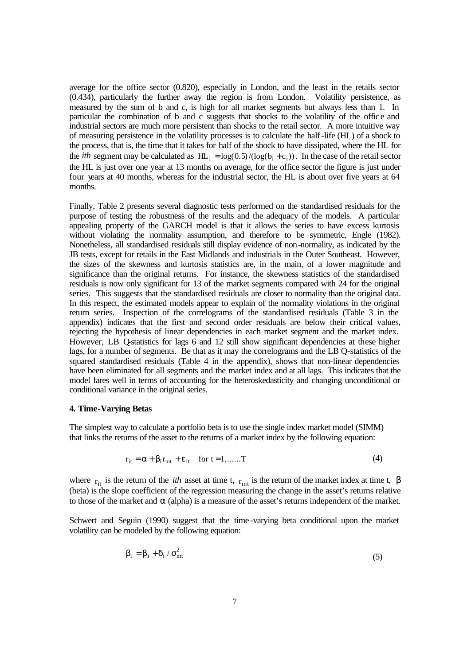average for the office sector (0.820), especially in London, and the least in the retails sector (0.434), particularly the further away the region is from London. Volatility persistence, as measured by the sum of b and c, is high for all market segments but always less than 1. In particular the combination of b and c suggests that shocks to the volatility of the office and industrial sectors are much more persistent than shocks to the retail sector. A more intuitive way of measuring persistence in the volatility processes is to calculate the half-life (HL) of a shock to the process, that is, the time that it takes for half of the shock to have dissipated, where the HL for the *ith* segment may be calculated as  $HL_i = \log(0.5) / (\log(b_i + c_i))$ . In the case of the retail sector the HL is just over one year at 13 months on average, for the office sector the figure is just under four years at 40 months, whereas for the industrial sector, the HL is about over five years at 64 months.

Finally, Table 2 presents several diagnostic tests performed on the standardised residuals for the purpose of testing the robustness of the results and the adequacy of the models. A particular appealing property of the GARCH model is that it allows the series to have excess kurtosis without violating the normality assumption, and therefore to be symmetric, Engle (1982). Nonetheless, all standardised residuals still display evidence of non-normality, as indicated by the JB tests, except for retails in the East Midlands and industrials in the Outer Southeast. However, the sizes of the skewness and kurtosis statistics are, in the main, of a lower magnitude and significance than the original returns. For instance, the skewness statistics of the standardised residuals is now only significant for 13 of the market segments compared with 24 for the original series. This suggests that the standardised residuals are closer to normality than the original data. In this respect, the estimated models appear to explain of the normality violations in the original return series. Inspection of the correlograms of the standardised residuals (Table 3 in the appendix) indicates that the first and second order residuals are below their critical values, rejecting the hypothesis of linear dependencies in each market segment and the market index. However, LB Q-statistics for lags 6 and 12 still show significant dependencies at these higher lags, for a number of segments. Be that as it may the correlograms and the LB Q-statistics of the squared standardised residuals (Table 4 in the appendix), shows that non-linear dependencies have been eliminated for all segments and the market index and at all lags. This indicates that the model fares well in terms of accounting for the heteroskedasticity and changing unconditional or conditional variance in the original series.

#### **4. Time-Varying Betas**

The simplest way to calculate a portfolio beta is to use the single index market model (SIMM) that links the returns of the asset to the returns of a market index by the following equation:

$$
r_{it} = \alpha + \beta_i r_{mt} + \varepsilon_{it} \quad \text{for } t = 1, \dots, T
$$
 (4)

where  $r_{it}$  is the return of the *ith* asset at time t,  $r_{mt}$  is the return of the market index at time t,  $\beta$ (beta) is the slope coefficient of the regression measuring the change in the asset's returns relative to those of the market and  $\alpha$  (alpha) is a measure of the asset's returns independent of the market.

Schwert and Seguin (1990) suggest that the time-varying beta conditional upon the market volatility can be modeled by the following equation:

$$
\beta_i = \beta_i + \delta_i / \sigma_{mt}^2 \tag{5}
$$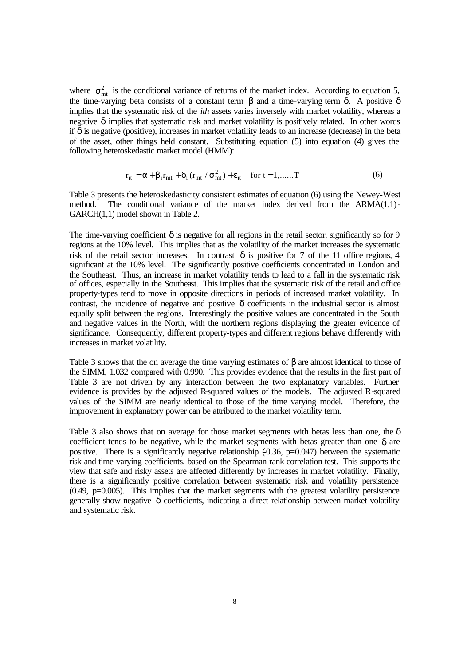where  $\sigma_{\rm mt}^2$  is the conditional variance of returns of the market index. According to equation 5, the time-varying beta consists of a constant term  $\beta$  and a time-varying term δ. A positive δ implies that the systematic risk of the *ith* assets varies inversely with market volatility, whereas a negative  $\delta$  implies that systematic risk and market volatility is positively related. In other words if δ is negative (positive), increases in market volatility leads to an increase (decrease) in the beta of the asset, other things held constant. Substituting equation (5) into equation (4) gives the following heteroskedastic market model (HMM):

$$
r_{it} = \alpha + \beta_i r_{mt} + \delta_i (r_{mt} / \sigma_{mt}^2) + \varepsilon_{it} \quad \text{for } t = 1, \dots, T
$$
 (6)

Table 3 presents the heteroskedasticity consistent estimates of equation (6) using the Newey-West method. The conditional variance of the market index derived from the ARMA(1,1)- GARCH(1,1) model shown in Table 2.

The time-varying coefficient  $\delta$  is negative for all regions in the retail sector, significantly so for 9 regions at the 10% level. This implies that as the volatility of the market increases the systematic risk of the retail sector increases. In contrast  $\delta$  is positive for 7 of the 11 office regions, 4 significant at the 10% level. The significantly positive coefficients concentrated in London and the Southeast. Thus, an increase in market volatility tends to lead to a fall in the systematic risk of offices, especially in the Southeast. This implies that the systematic risk of the retail and office property-types tend to move in opposite directions in periods of increased market volatility. In contrast, the incidence of negative and positive  $\delta$  coefficients in the industrial sector is almost equally split between the regions. Interestingly the positive values are concentrated in the South and negative values in the North, with the northern regions displaying the greater evidence of significance. Consequently, different property-types and different regions behave differently with increases in market volatility.

Table 3 shows that the on average the time varying estimates of β are almost identical to those of the SIMM, 1.032 compared with 0.990. This provides evidence that the results in the first part of Table 3 are not driven by any interaction between the two explanatory variables. Further evidence is provides by the adjusted R-squared values of the models. The adjusted R-squared values of the SIMM are nearly identical to those of the time varying model. Therefore, the improvement in explanatory power can be attributed to the market volatility term.

Table 3 also shows that on average for those market segments with betas less than one, the  $\delta$ coefficient tends to be negative, while the market segments with betas greater than one  $\delta$  are positive. There is a significantly negative relationship  $(0.36, p=0.047)$  between the systematic risk and time-varying coefficients, based on the Spearman rank correlation test. This supports the view that safe and risky assets are affected differently by increases in market volatility. Finally, there is a significantly positive correlation between systematic risk and volatility persistence  $(0.49, p=0.005)$ . This implies that the market segments with the greatest volatility persistence generally show negative  $\delta$  coefficients, indicating a direct relationship between market volatility and systematic risk.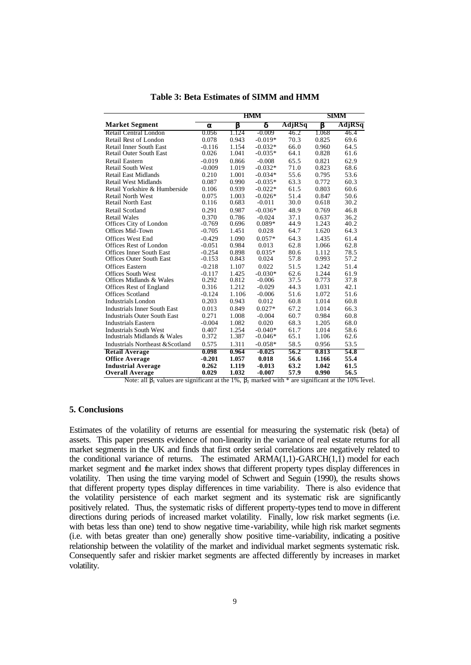|                                     |          | HMM   | SIMM      |        |       |        |
|-------------------------------------|----------|-------|-----------|--------|-------|--------|
| <b>Market Segment</b>               | a        | Ь     |           | AdjRSq | Ь     | AdjRSq |
| Retail Central London               | 0.056    | 1.124 | -0.009    | 46.2   | 1.068 | 46.4   |
| Retail Rest of London               | 0.078    | 0.943 | $-0.019*$ | 70.3   | 0.825 | 69.6   |
| Retail Inner South East             | $-0.116$ | 1.154 | $-0.032*$ | 66.0   | 0.960 | 64.5   |
| <b>Retail Outer South East</b>      | 0.026    | 1.041 | $-0.035*$ | 64.1   | 0.828 | 61.6   |
| Retail Eastern                      | $-0.019$ | 0.866 | $-0.008$  | 65.5   | 0.821 | 62.9   |
| <b>Retail South West</b>            | $-0.009$ | 1.019 | $-0.032*$ | 71.0   | 0.823 | 68.6   |
| <b>Retail East Midlands</b>         | 0.210    | 1.001 | $-0.034*$ | 55.6   | 0.795 | 53.6   |
| <b>Retail West Midlands</b>         | 0.087    | 0.990 | $-0.035*$ | 63.3   | 0.772 | 60.3   |
| Retail Yorkshire & Humberside       | 0.106    | 0.939 | $-0.022*$ | 61.5   | 0.803 | 60.6   |
| <b>Retail North West</b>            | 0.075    | 1.003 | $-0.026*$ | 51.4   | 0.847 | 50.6   |
| <b>Retail North East</b>            | 0.116    | 0.683 | $-0.011$  | 30.0   | 0.618 | 30.2   |
| Retail Scotland                     | 0.291    | 0.987 | $-0.036*$ | 48.9   | 0.769 | 46.8   |
| <b>Retail Wales</b>                 | 0.370    | 0.786 | $-0.024$  | 37.1   | 0.637 | 36.2   |
| Offices City of London              | $-0.769$ | 0.696 | $0.089*$  | 44.9   | 1.243 | 40.2   |
| Offices Mid-Town                    | $-0.705$ | 1.451 | 0.028     | 64.7   | 1.620 | 64.3   |
| Offices West End                    | $-0.429$ | 1.090 | $0.057*$  | 64.3   | 1.435 | 61.4   |
| Offices Rest of London              | $-0.051$ | 0.984 | 0.013     | 62.8   | 1.066 | 62.8   |
| <b>Offices Inner South East</b>     | $-0.254$ | 0.898 | $0.035*$  | 80.6   | 1.112 | 78.5   |
| <b>Offices Outer South East</b>     | $-0.153$ | 0.843 | 0.024     | 57.8   | 0.993 | 57.2   |
| <b>Offices Eastern</b>              | $-0.218$ | 1.107 | 0.022     | 51.5   | 1.242 | 51.4   |
| <b>Offices South West</b>           | $-0.117$ | 1.425 | $-0.030*$ | 62.6   | 1.244 | 61.9   |
| Offices Midlands & Wales            | 0.292    | 0.812 | $-0.006$  | 37.5   | 0.773 | 37.8   |
| Offices Rest of England             | 0.316    | 1.212 | $-0.029$  | 44.3   | 1.031 | 42.1   |
| <b>Offices Scotland</b>             | $-0.124$ | 1.106 | $-0.006$  | 51.6   | 1.072 | 51.6   |
| <b>Industrials London</b>           | 0.203    | 0.943 | 0.012     | 60.8   | 1.014 | 60.8   |
| <b>Industrials Inner South East</b> | 0.013    | 0.849 | $0.027*$  | 67.2   | 1.014 | 66.3   |
| <b>Industrials Outer South East</b> | 0.271    | 1.008 | $-0.004$  | 60.7   | 0.984 | 60.8   |
| <b>Industrials Eastern</b>          | $-0.004$ | 1.082 | 0.020     | 68.3   | 1.205 | 68.0   |
| <b>Industrials South West</b>       | 0.407    | 1.254 | $-0.040*$ | 61.7   | 1.014 | 58.6   |
| Industrials Midlands & Wales        | 0.372    | 1.387 | $-0.046*$ | 65.1   | 1.106 | 62.6   |
| Industrials Northeast &Scotland     | 0.575    | 1.311 | $-0.058*$ | 58.5   | 0.956 | 53.5   |
| <b>Retail Average</b>               | 0.098    | 0.964 | $-0.025$  | 56.2   | 0.813 | 54.8   |
| <b>Office Average</b>               | $-0.201$ | 1.057 | 0.018     | 56.6   | 1.166 | 55.4   |
| <b>Industrial Average</b>           | 0.262    | 1.119 | $-0.013$  | 63.2   | 1.042 | 61.5   |
| <b>Overall Average</b>              | 0.029    | 1.032 | $-0.007$  | 57.9   | 0.990 | 56.5   |

**Table 3: Beta Estimates of SIMM and HMM**

Note: all  $\beta_1$  values are significant at the 1%,  $\beta_2$  marked with \* are significant at the 10% level.

#### **5. Conclusions**

Estimates of the volatility of returns are essential for measuring the systematic risk (beta) of assets. This paper presents evidence of non-linearity in the variance of real estate returns for all market segments in the UK and finds that first order serial correlations are negatively related to the conditional variance of returns. The estimated  $ARMA(1,1)-GARCH(1,1)$  model for each market segment and the market index shows that different property types display differences in volatility. Then using the time varying model of Schwert and Seguin (1990), the results shows that different property types display differences in time variability. There is also evidence that the volatility persistence of each market segment and its systematic risk are significantly positively related. Thus, the systematic risks of different property-types tend to move in different directions during periods of increased market volatility. Finally, low risk market segments (i.e. with betas less than one) tend to show negative time-variability, while high risk market segments (i.e. with betas greater than one) generally show positive time-variability, indicating a positive relationship between the volatility of the market and individual market segments systematic risk. Consequently safer and riskier market segments are affected differently by increases in market volatility.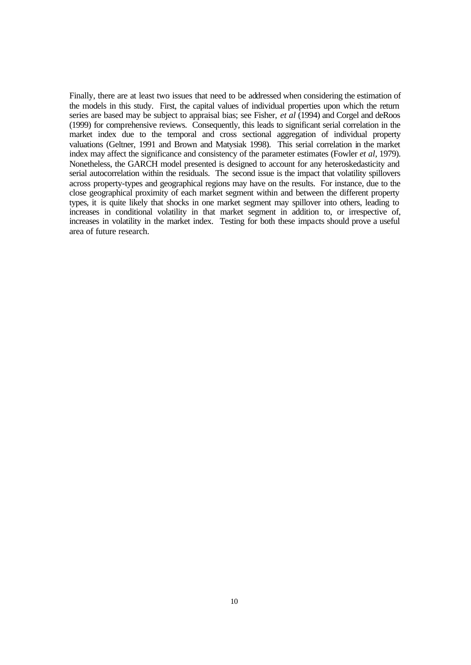Finally, there are at least two issues that need to be addressed when considering the estimation of the models in this study. First, the capital values of individual properties upon which the return series are based may be subject to appraisal bias; see Fisher, *et al* (1994) and Corgel and deRoos (1999) for comprehensive reviews. Consequently, this leads to significant serial correlation in the market index due to the temporal and cross sectional aggregation of individual property valuations (Geltner, 1991 and Brown and Matysiak 1998). This serial correlation in the market index may affect the significance and consistency of the parameter estimates (Fowler *et al*, 1979). Nonetheless, the GARCH model presented is designed to account for any heteroskedasticity and serial autocorrelation within the residuals. The second issue is the impact that volatility spillovers across property-types and geographical regions may have on the results. For instance, due to the close geographical proximity of each market segment within and between the different property types, it is quite likely that shocks in one market segment may spillover into others, leading to increases in conditional volatility in that market segment in addition to, or irrespective of, increases in volatility in the market index. Testing for both these impacts should prove a useful area of future research.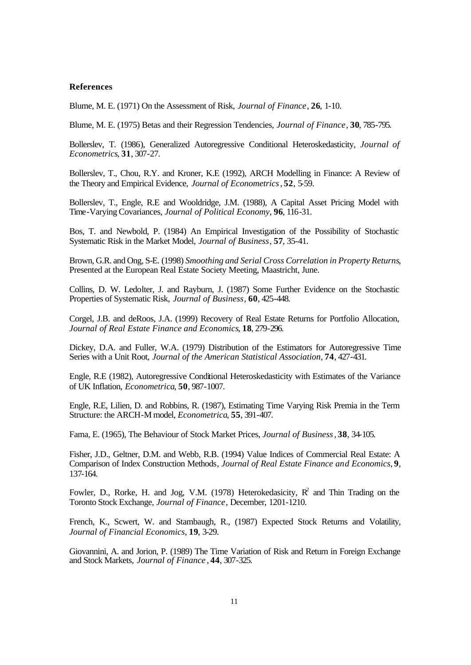#### **References**

Blume, M. E. (1971) On the Assessment of Risk, *Journal of Finance*, **26**, 1-10.

Blume, M. E. (1975) Betas and their Regression Tendencies, *Journal of Finance*, **30**, 785-795.

Bollerslev, T. (1986), Generalized Autoregressive Conditional Heteroskedasticity, *Journal of Econometrics*, **31**, 307-27.

Bollerslev, T., Chou, R.Y. and Kroner, K.E (1992), ARCH Modelling in Finance: A Review of the Theory and Empirical Evidence, *Journal of Econometrics*, **52**, 5-59.

Bollerslev, T., Engle, R.E and Wooldridge, J.M. (1988), A Capital Asset Pricing Model with Time-Varying Covariances, *Journal of Political Economy*, **96**, 116-31.

Bos, T. and Newbold, P. (1984) An Empirical Investigation of the Possibility of Stochastic Systematic Risk in the Market Model, *Journal of Business*, **57**, 35-41.

Brown, G.R. and Ong, S-E. (1998) *Smoothing and Serial Cross Correlation in Property Returns*, Presented at the European Real Estate Society Meeting, Maastricht, June.

Collins, D. W. Ledolter, J. and Rayburn, J. (1987) Some Further Evidence on the Stochastic Properties of Systematic Risk, *Journal of Business*, **60**, 425-448.

Corgel, J.B. and deRoos, J.A. (1999) Recovery of Real Estate Returns for Portfolio Allocation, *Journal of Real Estate Finance and Economics*, **18**, 279-296.

Dickey, D.A. and Fuller, W.A. (1979) Distribution of the Estimators for Autoregressive Time Series with a Unit Root, *Journal of the American Statistical Association,* **74**, 427-431.

Engle, R.E (1982), Autoregressive Conditional Heteroskedasticity with Estimates of the Variance of UK Inflation, *Econometrica*, **50**, 987-1007.

Engle, R.E, Lilien, D. and Robbins, R. (1987), Estimating Time Varying Risk Premia in the Term Structure: the ARCH-M model, *Econometrica*, **55**, 391-407.

Fama, E. (1965), The Behaviour of Stock Market Prices, *Journal of Business*, **38**, 34-105.

Fisher, J.D., Geltner, D.M. and Webb, R.B. (1994) Value Indices of Commercial Real Estate: A Comparison of Index Construction Methods*, Journal of Real Estate Finance and Economics*, **9**, 137-164.

Fowler, D., Rorke, H. and Jog, V.M. (1978) Heterokedasicity,  $R^2$  and Thin Trading on the Toronto Stock Exchange, *Journal of Finance*, December, 1201-1210.

French, K., Scwert, W. and Stambaugh, R., (1987) Expected Stock Returns and Volatility, *Journal of Financial Economics*, **19**, 3-29.

Giovannini, A. and Jorion, P. (1989) The Time Variation of Risk and Return in Foreign Exchange and Stock Markets, *Journal of Finance* , **44**, 307-325.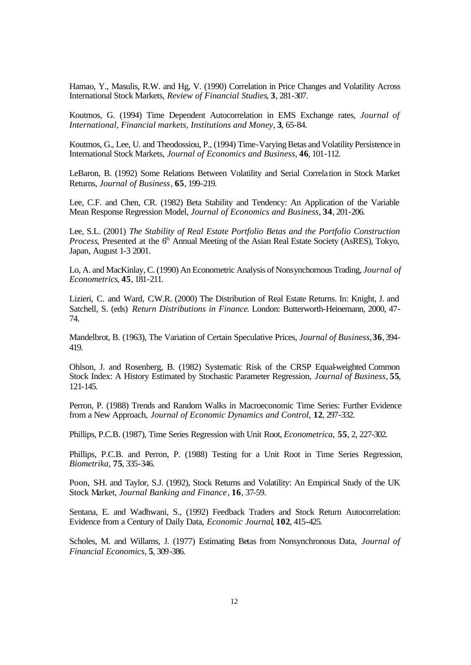Hamao, Y., Masulis, R.W. and Hg, V. (1990) Correlation in Price Changes and Volatility Across International Stock Markets, *Review of Financial Studies*, **3**, 281-307.

Koutmos, G. (1994) Time Dependent Autocorrelation in EMS Exchange rates, *Journal of International, Financial markets, Institutions and Money*, **3**, 65-84.

Koutmos, G., Lee, U. and Theodossiou, P., (1994) Time-Varying Betas and Volatility Persistence in International Stock Markets, *Journal of Economics and Business*, **46**, 101-112.

LeBaron, B. (1992) Some Relations Between Volatility and Serial Correlation in Stock Market Returns, *Journal of Business*, **65**, 199-219.

Lee, C.F. and Chen, CR. (1982) Beta Stability and Tendency: An Application of the Variable Mean Response Regression Model, *Journal of Economics and Business*, **34**, 201-206.

Lee, S.L. (2001) *The Stability of Real Estate Portfolio Betas and the Portfolio Construction Process*, Presented at the 6<sup>th</sup> Annual Meeting of the Asian Real Estate Society (AsRES), Tokyo, Japan, August 1-3 2001.

Lo, A. and MacKinlay, C. (1990) An Econometric Analysis of Nonsynchornous Trading, *Journal of Econometrics*, **45**, 181-211.

Lizieri, C. and Ward, C.W.R. (2000) The Distribution of Real Estate Returns. In: Knight, J. and Satchell, S. (eds) *Return Distributions in Finance*. London: Butterworth-Heinemann, 2000, 47- 74.

Mandelbrot, B. (1963), The Variation of Certain Speculative Prices*, Journal of Business*, **36**, 394- 419.

Ohlson, J. and Rosenberg, B. (1982) Systematic Risk of the CRSP Equal-weighted Common Stock Index: A History Estimated by Stochastic Parameter Regression, *Journal of Business*, **55**, 121-145.

Perron, P. (1988) Trends and Random Walks in Macroeconomic Time Series: Further Evidence from a New Approach, *Journal of Economic Dynamics and Control,* **12**, 297-332.

Phillips, P.C.B. (1987), Time Series Regression with Unit Root, *Econometrica,* **55**, 2, 227-302.

Phillips, P.C.B. and Perron, P. (1988) Testing for a Unit Root in Time Series Regression, *Biometrika,* **75**, 335-346.

Poon, S-H. and Taylor, S.J. (1992), Stock Returns and Volatility: An Empirical Study of the UK Stock Market, *Journal Banking and Finance*, **16**, 37-59.

Sentana, E. and Wadhwani, S., (1992) Feedback Traders and Stock Return Autocorrelation: Evidence from a Century of Daily Data, *Economic Journal*, **102**, 415-425.

Scholes, M. and Willams, J. (1977) Estimating Betas from Nonsynchronous Data, *Journal of Financial Economics*, **5**, 309-386.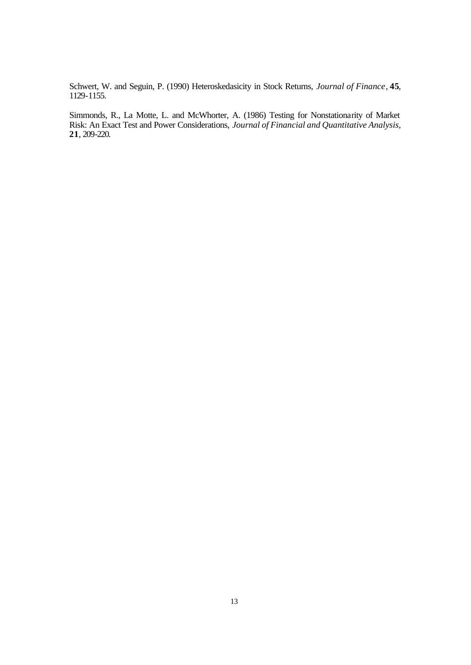Schwert, W. and Seguin, P. (1990) Heteroskedasicity in Stock Returns, *Journal of Finance*, **45**, 1129-1155.

Simmonds, R., La Motte, L. and McWhorter, A. (1986) Testing for Nonstationarity of Market Risk: An Exact Test and Power Considerations, *Journal of Financial and Quantitative Analysis*, **21**, 209-220.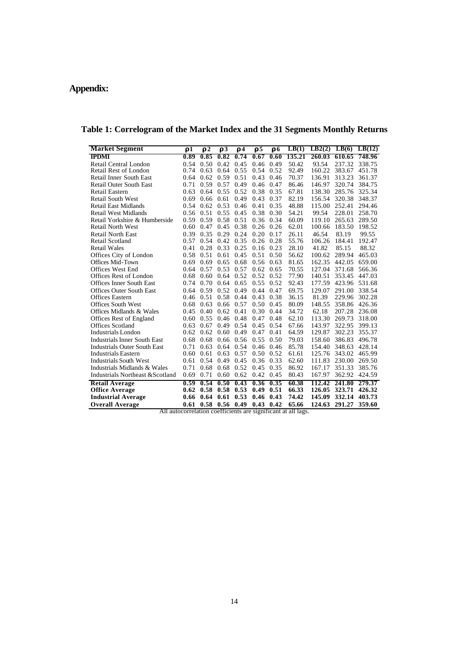## **Appendix:**

| <b>Market Segment</b>                                         | ${\bf r}$ 1 | $\mathbf{r}$ 2 | $\mathbf{r}$ 3   | $\mathbf{r}$ 4 | r 5  | r <sub>6</sub> | LB(1)  |        | $LB2(2)$ $LB(6)$ $LB(12)$ |               |
|---------------------------------------------------------------|-------------|----------------|------------------|----------------|------|----------------|--------|--------|---------------------------|---------------|
| <b>IPDMI</b>                                                  | 0.89        | 0.85           | 0.82             | 0.74           | 0.67 | 0.60           | 135.21 | 260.03 |                           | 610.65 748.96 |
| Retail Central London                                         | 0.54        | 0.50           | 0.42             | 0.45           | 0.46 | 0.49           | 50.42  | 93.54  | 237.32                    | 338.75        |
| Retail Rest of London                                         | 0.74        | 0.63           | 0.64             | 0.55           | 0.54 | 0.52           | 92.49  | 160.22 | 383.67                    | 451.78        |
| Retail Inner South East                                       | 0.64        | 0.62           | 0.59             | 0.51           | 0.43 | 0.46           | 70.37  | 136.91 | 313.23                    | 361.37        |
| <b>Retail Outer South East</b>                                | 0.71        | 0.59           | 0.57             | 0.49           | 0.46 | 0.47           | 86.46  | 146.97 | 320.74                    | 384.75        |
| Retail Eastern                                                | 0.63        | 0.64           | 0.55             | 0.52           | 0.38 | 0.35           | 67.81  | 138.30 | 285.76                    | 325.34        |
| <b>Retail South West</b>                                      | 0.69        | 0.66           | 0.61             | 0.49           | 0.43 | 0.37           | 82.19  | 156.54 | 320.38                    | 348.37        |
| <b>Retail East Midlands</b>                                   | 0.54        | 0.62           | 0.53             | 0.46           | 0.41 | 0.35           | 48.88  | 115.00 | 252.41                    | 294.46        |
| <b>Retail West Midlands</b>                                   | 0.56        | 0.51           | 0.55             | 0.45           | 0.38 | 0.30           | 54.21  | 99.54  | 228.01                    | 258.70        |
| Retail Yorkshire & Humberside                                 | 0.59        | 0.59           | 0.58             | 0.51           | 0.36 | 0.34           | 60.09  | 119.10 | 265.63                    | 289.50        |
| <b>Retail North West</b>                                      | 0.60        | 0.47           | 0.45             | 0.38           | 0.26 | 0.26           | 62.01  | 100.66 | 183.50                    | 198.52        |
| <b>Retail North East</b>                                      | 0.39        | 0.35           | 0.29             | 0.24           | 0.20 | 0.17           | 26.11  | 46.54  | 83.19                     | 99.55         |
| Retail Scotland                                               | 0.57        | 0.54           | 0.42             | 0.35           | 0.26 | 0.28           | 55.76  | 106.26 | 184.41                    | 192.47        |
| <b>Retail Wales</b>                                           | 0.41        | 0.28           | 0.33             | 0.25           | 0.16 | 0.23           | 28.10  | 41.82  | 85.15                     | 88.32         |
| Offices City of London                                        | 0.58        | 0.51           | 0.61             | 0.45           | 0.51 | 0.50           | 56.62  | 100.62 | 289.94                    | 465.03        |
| Offices Mid-Town                                              | 0.69        | 0.69           | 0.65             | 0.68           | 0.56 | 0.63           | 81.65  | 162.35 | 442.05                    | 659.00        |
| Offices West End                                              | 0.64        | 0.57           | 0.53             | 0.57           | 0.62 | 0.65           | 70.55  | 127.04 | 371.68                    | 566.36        |
| Offices Rest of London                                        | 0.68        | 0.60           | 0.64             | 0.52           | 0.52 | 0.52           | 77.90  | 140.51 | 353.45                    | 447.03        |
| <b>Offices Inner South East</b>                               | 0.74        | 0.70           | 0.64             | 0.65           | 0.55 | 0.52           | 92.43  | 177.59 | 423.96                    | 531.68        |
| <b>Offices Outer South East</b>                               | 0.64        | 0.59           | 0.52             | 0.49           | 0.44 | 0.47           | 69.75  | 129.07 | 291.00                    | 338.54        |
| Offices Eastern                                               | 0.46        | 0.51           | 0.58             | 0.44           | 0.43 | 0.38           | 36.15  | 81.39  | 229.96                    | 302.28        |
| <b>Offices South West</b>                                     | 0.68        | 0.63           | 0.66             | 0.57           | 0.50 | 0.45           | 80.09  | 148.55 | 358.86                    | 426.36        |
| Offices Midlands & Wales                                      | 0.45        | 0.40           | 0.62             | 0.41           | 0.30 | 0.44           | 34.72  | 62.18  | 207.28                    | 236.08        |
| Offices Rest of England                                       | 0.60        | 0.55           | 0.46             | 0.48           | 0.47 | 0.48           | 62.10  | 113.30 | 269.73                    | 318.00        |
| <b>Offices Scotland</b>                                       | 0.63        | 0.67           | 0.49             | 0.54           | 0.45 | 0.54           | 67.66  | 143.97 | 322.95                    | 399.13        |
| Industrials London                                            | 0.62        | 0.62           | 0.60             | 0.49           | 0.47 | 0.41           | 64.59  | 129.87 | 302.23                    | 355.37        |
| <b>Industrials Inner South East</b>                           | 0.68        | 0.68           | 0.66             | 0.56           | 0.55 | 0.50           | 79.03  | 158.60 | 386.83                    | 496.78        |
| <b>Industrials Outer South East</b>                           | 0.71        | 0.63           | 0.64             | 0.54           | 0.46 | 0.46           | 85.78  | 154.40 | 348.63                    | 428.14        |
| <b>Industrials Eastern</b>                                    | 0.60        | 0.61           | 0.63             | 0.57           | 0.50 | 0.52           | 61.61  | 125.76 | 343.02                    | 465.99        |
| <b>Industrials South West</b>                                 | 0.61        | 0.54           | 0.49             | 0.45           | 0.36 | 0.33           | 62.60  | 111.83 | 230.00                    | 269.50        |
| Industrials Midlands & Wales                                  | 0.71        | 0.68           | 0.68             | 0.52           | 0.45 | 0.35           | 86.92  | 167.17 | 351.33                    | 385.76        |
| Industrials Northeast & Scotland                              | 0.69        | 0.71           | 0.60             | 0.62           | 0.42 | 0.45           | 80.43  | 167.97 | 362.92                    | 424.59        |
| <b>Retail Average</b>                                         | 0.59        | 0.54           | 0.50             | 0.43           | 0.36 | 0.35           | 60.38  | 112.42 | 241.80                    | 279.37        |
| <b>Office Average</b>                                         | 0.62        | 0.58           | 0.58             | 0.53           | 0.49 | 0.51           | 66.33  | 126.05 | 323.71                    | 426.32        |
| <b>Industrial Average</b>                                     | 0.66        | 0.64           | 0.61             | 0.53           | 0.46 | 0.43           | 74.42  | 145.09 | 332.14                    | 403.73        |
| <b>Overall Average</b>                                        | 0.61        |                | $0.58$ 0.56 0.49 |                | 0.43 | 0.42           | 65.66  | 124.63 | 291.27                    | 359.60        |
| All autocorrelation coefficients are significant at all lags. |             |                |                  |                |      |                |        |        |                           |               |

**Table 1: Correlogram of the Market Index and the 31 Segments Monthly Returns**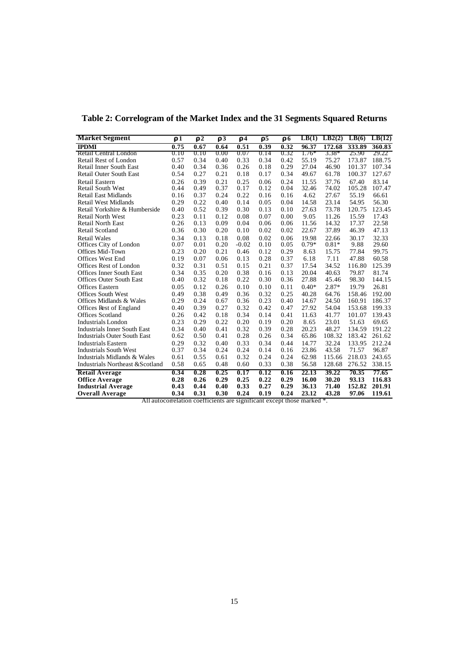| <b>Market Segment</b>               | $\mathbf{r}$ 1 | $\mathbf{r}$ 2 | r3   | $\mathbf{r}$ <sup>4</sup> | $\mathbf{r}$ 5 | r <sub>6</sub> | LB(1)   | LB2(2)  | LB(6)  | LB(12) |
|-------------------------------------|----------------|----------------|------|---------------------------|----------------|----------------|---------|---------|--------|--------|
| <b>IPDMI</b>                        | 0.75           | 0.67           | 0.64 | 0.51                      | 0.39           | 0.32           | 96.37   | 172.68  | 333.89 | 360.83 |
| Retail Central London               | 0.10           | 0.10           | 0.00 | 0.07                      | 0.14           | 0.32           | $1.76*$ | $3.38*$ | 25.90  | 29.22  |
| Retail Rest of London               | 0.57           | 0.34           | 0.40 | 0.33                      | 0.34           | 0.42           | 55.19   | 75.27   | 173.87 | 188.75 |
| <b>Retail Inner South East</b>      | 0.40           | 0.34           | 0.36 | 0.26                      | 0.18           | 0.29           | 27.04   | 46.90   | 101.37 | 107.34 |
| <b>Retail Outer South East</b>      | 0.54           | 0.27           | 0.21 | 0.18                      | 0.17           | 0.34           | 49.67   | 61.78   | 100.37 | 127.67 |
| Retail Eastern                      | 0.26           | 0.39           | 0.21 | 0.25                      | 0.06           | 0.24           | 11.55   | 37.76   | 67.40  | 83.14  |
| Retail South West                   | 0.44           | 0.49           | 0.37 | 0.17                      | 0.12           | 0.04           | 32.46   | 74.02   | 105.28 | 107.47 |
| <b>Retail East Midlands</b>         | 0.16           | 0.37           | 0.24 | 0.22                      | 0.16           | 0.16           | 4.62    | 27.67   | 55.19  | 66.61  |
| <b>Retail West Midlands</b>         | 0.29           | 0.22           | 0.40 | 0.14                      | 0.05           | 0.04           | 14.58   | 23.14   | 54.95  | 56.30  |
| Retail Yorkshire & Humberside       | 0.40           | 0.52           | 0.39 | 0.30                      | 0.13           | 0.10           | 27.63   | 73.78   | 120.75 | 123.45 |
| <b>Retail North West</b>            | 0.23           | 0.11           | 0.12 | 0.08                      | 0.07           | 0.00           | 9.05    | 11.26   | 15.59  | 17.43  |
| <b>Retail North East</b>            | 0.26           | 0.13           | 0.09 | 0.04                      | 0.06           | 0.06           | 11.56   | 14.32   | 17.37  | 22.58  |
| <b>Retail Scotland</b>              | 0.36           | 0.30           | 0.20 | 0.10                      | 0.02           | 0.02           | 22.67   | 37.89   | 46.39  | 47.13  |
| <b>Retail Wales</b>                 | 0.34           | 0.13           | 0.18 | 0.08                      | 0.02           | 0.06           | 19.98   | 22.66   | 30.17  | 32.33  |
| Offices City of London              | 0.07           | 0.01           | 0.20 | $-0.02$                   | 0.10           | 0.05           | $0.79*$ | $0.81*$ | 9.88   | 29.60  |
| Offices Mid-Town                    | 0.23           | 0.20           | 0.21 | 0.46                      | 0.12           | 0.29           | 8.63    | 15.75   | 77.84  | 99.75  |
| <b>Offices West End</b>             | 0.19           | 0.07           | 0.06 | 0.13                      | 0.28           | 0.37           | 6.18    | 7.11    | 47.88  | 60.58  |
| Offices Rest of London              | 0.32           | 0.31           | 0.51 | 0.15                      | 0.21           | 0.37           | 17.54   | 34.52   | 116.80 | 125.39 |
| <b>Offices Inner South East</b>     | 0.34           | 0.35           | 0.20 | 0.38                      | 0.16           | 0.13           | 20.04   | 40.63   | 79.87  | 81.74  |
| <b>Offices Outer South East</b>     | 0.40           | 0.32           | 0.18 | 0.22                      | 0.30           | 0.36           | 27.88   | 45.46   | 98.30  | 144.15 |
| <b>Offices Eastern</b>              | 0.05           | 0.12           | 0.26 | 0.10                      | 0.10           | 0.11           | $0.40*$ | $2.87*$ | 19.79  | 26.81  |
| Offices South West                  | 0.49           | 0.38           | 0.49 | 0.36                      | 0.32           | 0.25           | 40.28   | 64.76   | 158.46 | 192.00 |
| Offices Midlands & Wales            | 0.29           | 0.24           | 0.67 | 0.36                      | 0.23           | 0.40           | 14.67   | 24.50   | 160.91 | 186.37 |
| Offices Rest of England             | 0.40           | 0.39           | 0.27 | 0.32                      | 0.42           | 0.47           | 27.92   | 54.04   | 153.68 | 199.33 |
| <b>Offices Scotland</b>             | 0.26           | 0.42           | 0.18 | 0.34                      | 0.14           | 0.41           | 11.63   | 41.77   | 101.07 | 139.43 |
| <b>Industrials London</b>           | 0.23           | 0.29           | 0.22 | 0.20                      | 0.19           | 0.20           | 8.65    | 23.01   | 51.63  | 69.65  |
| <b>Industrials Inner South East</b> | 0.34           | 0.40           | 0.41 | 0.32                      | 0.39           | 0.28           | 20.23   | 48.27   | 134.59 | 191.22 |
| <b>Industrials Outer South East</b> | 0.62           | 0.50           | 0.41 | 0.28                      | 0.26           | 0.34           | 65.86   | 108.32  | 183.42 | 261.62 |
| <b>Industrials Eastern</b>          | 0.29           | 0.32           | 0.40 | 0.33                      | 0.34           | 0.44           | 14.77   | 32.24   | 133.95 | 212.24 |
| <b>Industrials South West</b>       | 0.37           | 0.34           | 0.24 | 0.24                      | 0.14           | 0.16           | 23.86   | 43.58   | 71.57  | 96.87  |
| Industrials Midlands & Wales        | 0.61           | 0.55           | 0.61 | 0.32                      | 0.24           | 0.24           | 62.98   | 115.66  | 218.03 | 243.65 |
| Industrials Northeast & Scotland    | 0.58           | 0.65           | 0.48 | 0.60                      | 0.33           | 0.38           | 56.58   | 128.68  | 276.52 | 338.15 |
| <b>Retail Average</b>               | 0.34           | 0.28           | 0.25 | 0.17                      | 0.12           | 0.16           | 22.13   | 39.22   | 70.35  | 77.65  |
| <b>Office Average</b>               | 0.28           | 0.26           | 0.29 | 0.25                      | 0.22           | 0.29           | 16.00   | 30.20   | 93.13  | 116.83 |
| <b>Industrial Average</b>           | 0.43           | 0.44           | 0.40 | 0.33                      | 0.27           | 0.29           | 36.13   | 71.40   | 152.82 | 201.91 |
| <b>Overall Average</b>              | 0.34           | 0.31           | 0.30 | 0.24                      | 0.19           | 0.24           | 23.12   | 43.28   | 97.06  | 119.61 |

**Table 2: Correlogram of the Market Index and the 31 Segments Squared Returns**

All autocorrelation coefficients are significant except those marked \*.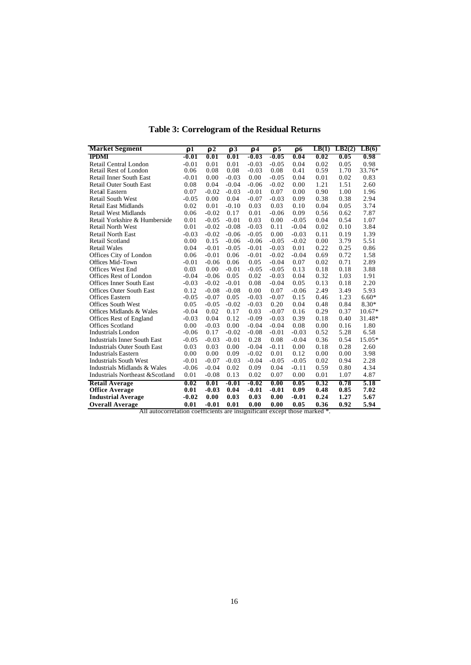| <b>Market Segment</b>                                                     | r1      | $\overline{\mathbf{r}^2}$ | $\overline{r}$ 3 | $\mathbf{r}$ <sup><math>\overline{4}</math></sup> | $\overline{r}$ 5 | r <sub>6</sub> | LB(1) | LB2(2) | LB(6)    |
|---------------------------------------------------------------------------|---------|---------------------------|------------------|---------------------------------------------------|------------------|----------------|-------|--------|----------|
| <b>IPDMI</b>                                                              | $-0.01$ | 0.01                      | 0.01             | $-0.03$                                           | $-0.05$          | 0.04           | 0.02  | 0.05   | 0.98     |
| Retail Central London                                                     | $-0.01$ | 0.01                      | 0.01             | $-0.03$                                           | $-0.05$          | 0.04           | 0.02  | 0.05   | 0.98     |
| Retail Rest of London                                                     | 0.06    | 0.08                      | 0.08             | $-0.03$                                           | 0.08             | 0.41           | 0.59  | 1.70   | 33.76*   |
| <b>Retail Inner South East</b>                                            | $-0.01$ | 0.00                      | $-0.03$          | 0.00                                              | $-0.05$          | 0.04           | 0.01  | 0.02   | 0.83     |
| <b>Retail Outer South East</b>                                            | 0.08    | 0.04                      | $-0.04$          | $-0.06$                                           | $-0.02$          | 0.00           | 1.21  | 1.51   | 2.60     |
| Retail Eastern                                                            | 0.07    | $-0.02$                   | $-0.03$          | $-0.01$                                           | 0.07             | 0.00           | 0.90  | 1.00   | 1.96     |
| <b>Retail South West</b>                                                  | $-0.05$ | 0.00                      | 0.04             | $-0.07$                                           | $-0.03$          | 0.09           | 0.38  | 0.38   | 2.94     |
| <b>Retail East Midlands</b>                                               | 0.02    | 0.01                      | $-0.10$          | 0.03                                              | 0.03             | 0.10           | 0.04  | 0.05   | 3.74     |
| <b>Retail West Midlands</b>                                               | 0.06    | $-0.02$                   | 0.17             | 0.01                                              | $-0.06$          | 0.09           | 0.56  | 0.62   | 7.87     |
| Retail Yorkshire & Humberside                                             | 0.01    | $-0.05$                   | $-0.01$          | 0.03                                              | 0.00             | $-0.05$        | 0.04  | 0.54   | 1.07     |
| <b>Retail North West</b>                                                  | 0.01    | $-0.02$                   | $-0.08$          | $-0.03$                                           | 0.11             | $-0.04$        | 0.02  | 0.10   | 3.84     |
| <b>Retail North East</b>                                                  | $-0.03$ | $-0.02$                   | $-0.06$          | $-0.05$                                           | 0.00             | $-0.03$        | 0.11  | 0.19   | 1.39     |
| Retail Scotland                                                           | 0.00    | 0.15                      | $-0.06$          | $-0.06$                                           | $-0.05$          | $-0.02$        | 0.00  | 3.79   | 5.51     |
| <b>Retail Wales</b>                                                       | 0.04    | $-0.01$                   | $-0.05$          | $-0.01$                                           | $-0.03$          | 0.01           | 0.22  | 0.25   | 0.86     |
| Offices City of London                                                    | 0.06    | $-0.01$                   | 0.06             | $-0.01$                                           | $-0.02$          | $-0.04$        | 0.69  | 0.72   | 1.58     |
| Offices Mid-Town                                                          | $-0.01$ | $-0.06$                   | 0.06             | 0.05                                              | $-0.04$          | 0.07           | 0.02  | 0.71   | 2.89     |
| Offices West End                                                          | 0.03    | 0.00                      | $-0.01$          | $-0.05$                                           | $-0.05$          | 0.13           | 0.18  | 0.18   | 3.88     |
| Offices Rest of London                                                    | $-0.04$ | $-0.06$                   | 0.05             | 0.02                                              | $-0.03$          | 0.04           | 0.32  | 1.03   | 1.91     |
| <b>Offices Inner South East</b>                                           | $-0.03$ | $-0.02$                   | $-0.01$          | 0.08                                              | $-0.04$          | 0.05           | 0.13  | 0.18   | 2.20     |
| <b>Offices Outer South East</b>                                           | 0.12    | $-0.08$                   | $-0.08$          | 0.00                                              | 0.07             | $-0.06$        | 2.49  | 3.49   | 5.93     |
| <b>Offices Eastern</b>                                                    | $-0.05$ | $-0.07$                   | 0.05             | $-0.03$                                           | $-0.07$          | 0.15           | 0.46  | 1.23   | $6.60*$  |
| <b>Offices South West</b>                                                 | 0.05    | $-0.05$                   | $-0.02$          | $-0.03$                                           | 0.20             | 0.04           | 0.48  | 0.84   | 8.30*    |
| Offices Midlands & Wales                                                  | $-0.04$ | 0.02                      | 0.17             | 0.03                                              | $-0.07$          | 0.16           | 0.29  | 0.37   | $10.67*$ |
| Offices Rest of England                                                   | $-0.03$ | 0.04                      | 0.12             | $-0.09$                                           | $-0.03$          | 0.39           | 0.18  | 0.40   | 31.48*   |
| <b>Offices Scotland</b>                                                   | 0.00    | $-0.03$                   | 0.00             | $-0.04$                                           | $-0.04$          | 0.08           | 0.00  | 0.16   | 1.80     |
| <b>Industrials London</b>                                                 | $-0.06$ | 0.17                      | $-0.02$          | $-0.08$                                           | $-0.01$          | $-0.03$        | 0.52  | 5.28   | 6.58     |
| <b>Industrials Inner South East</b>                                       | $-0.05$ | $-0.03$                   | $-0.01$          | 0.28                                              | 0.08             | $-0.04$        | 0.36  | 0.54   | 15.05*   |
| <b>Industrials Outer South East</b>                                       | 0.03    | 0.03                      | 0.00             | $-0.04$                                           | $-0.11$          | 0.00           | 0.18  | 0.28   | 2.60     |
| <b>Industrials Eastern</b>                                                | 0.00    | 0.00                      | 0.09             | $-0.02$                                           | 0.01             | 0.12           | 0.00  | 0.00   | 3.98     |
| <b>Industrials South West</b>                                             | $-0.01$ | $-0.07$                   | $-0.03$          | $-0.04$                                           | $-0.05$          | $-0.05$        | 0.02  | 0.94   | 2.28     |
| Industrials Midlands & Wales                                              | $-0.06$ | $-0.04$                   | 0.02             | 0.09                                              | 0.04             | $-0.11$        | 0.59  | 0.80   | 4.34     |
| Industrials Northeast & Scotland                                          | 0.01    | $-0.08$                   | 0.13             | 0.02                                              | 0.07             | 0.00           | 0.01  | 1.07   | 4.87     |
| <b>Retail Average</b>                                                     | 0.02    | 0.01                      | $-0.01$          | $-0.02$                                           | 0.00             | 0.05           | 0.32  | 0.78   | 5.18     |
| <b>Office Average</b>                                                     | 0.01    | $-0.03$                   | 0.04             | $-0.01$                                           | $-0.01$          | 0.09           | 0.48  | 0.85   | 7.02     |
| <b>Industrial Average</b>                                                 | $-0.02$ | 0.00                      | 0.03             | 0.03                                              | 0.00             | $-0.01$        | 0.24  | 1.27   | 5.67     |
| <b>Overall Average</b>                                                    | 0.01    | $-0.01$                   | 0.01             | 0.00                                              | 0.00             | 0.05           | 0.36  | 0.92   | 5.94     |
| All autocorrelation coefficients are insignificant except those marked *. |         |                           |                  |                                                   |                  |                |       |        |          |

**Table 3: Correlogram of the Residual Returns**